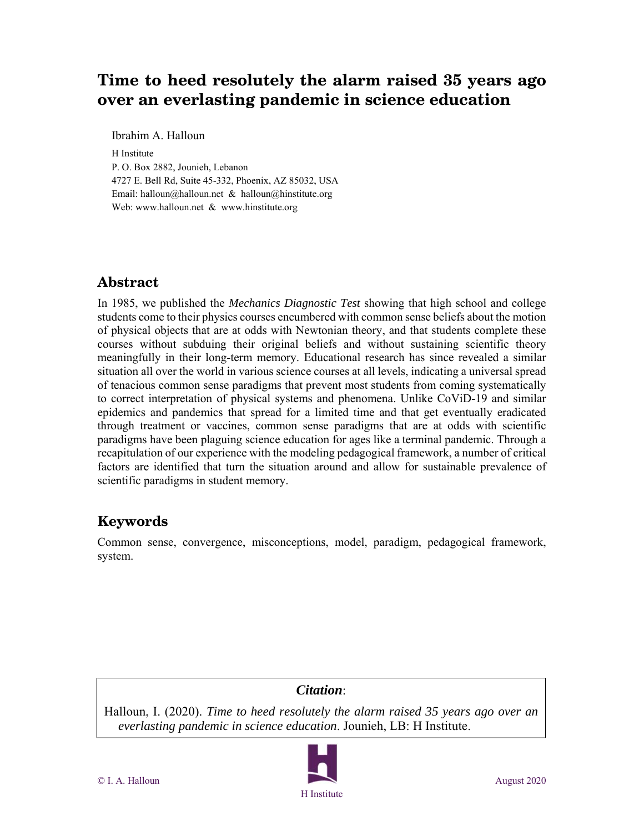# **Time to heed resolutely the alarm raised 35 years ago over an everlasting pandemic in science education**

Ibrahim A. Halloun

H Institute P. O. Box 2882, Jounieh, Lebanon 4727 E. Bell Rd, Suite 45-332, Phoenix, AZ 85032, USA Email: halloun@halloun.net & halloun@hinstitute.org Web: www.halloun.net & www.hinstitute.org

# **Abstract**

In 1985, we published the *Mechanics Diagnostic Test* showing that high school and college students come to their physics courses encumbered with common sense beliefs about the motion of physical objects that are at odds with Newtonian theory, and that students complete these courses without subduing their original beliefs and without sustaining scientific theory meaningfully in their long-term memory. Educational research has since revealed a similar situation all over the world in various science courses at all levels, indicating a universal spread of tenacious common sense paradigms that prevent most students from coming systematically to correct interpretation of physical systems and phenomena. Unlike CoViD-19 and similar epidemics and pandemics that spread for a limited time and that get eventually eradicated through treatment or vaccines, common sense paradigms that are at odds with scientific paradigms have been plaguing science education for ages like a terminal pandemic. Through a recapitulation of our experience with the modeling pedagogical framework, a number of critical factors are identified that turn the situation around and allow for sustainable prevalence of scientific paradigms in student memory.

# **Keywords**

Common sense, convergence, misconceptions, model, paradigm, pedagogical framework, system.

# *Citation*:

Halloun, I. (2020). *Time to heed resolutely the alarm raised 35 years ago over an everlasting pandemic in science education*. Jounieh, LB: H Institute.

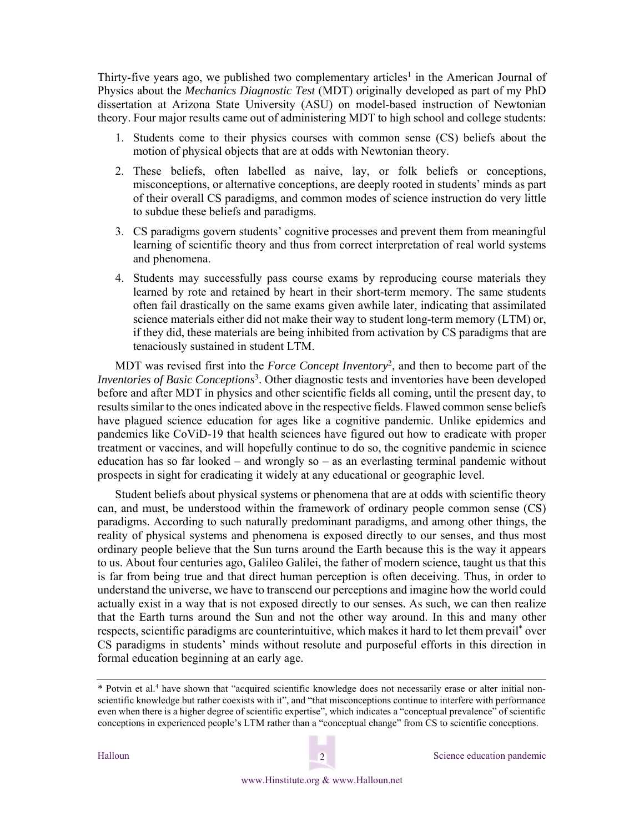Thirty-five years ago, we published two complementary articles<sup>1</sup> in the American Journal of Physics about the *Mechanics Diagnostic Test* (MDT) originally developed as part of my PhD dissertation at Arizona State University (ASU) on model-based instruction of Newtonian theory. Four major results came out of administering MDT to high school and college students:

- 1. Students come to their physics courses with common sense (CS) beliefs about the motion of physical objects that are at odds with Newtonian theory.
- 2. These beliefs, often labelled as naive, lay, or folk beliefs or conceptions, misconceptions, or alternative conceptions, are deeply rooted in students' minds as part of their overall CS paradigms, and common modes of science instruction do very little to subdue these beliefs and paradigms.
- 3. CS paradigms govern students' cognitive processes and prevent them from meaningful learning of scientific theory and thus from correct interpretation of real world systems and phenomena.
- 4. Students may successfully pass course exams by reproducing course materials they learned by rote and retained by heart in their short-term memory. The same students often fail drastically on the same exams given awhile later, indicating that assimilated science materials either did not make their way to student long-term memory (LTM) or, if they did, these materials are being inhibited from activation by CS paradigms that are tenaciously sustained in student LTM.

MDT was revised first into the *Force Concept Inventory*2, and then to become part of the *Inventories of Basic Conceptions*3. Other diagnostic tests and inventories have been developed before and after MDT in physics and other scientific fields all coming, until the present day, to results similar to the ones indicated above in the respective fields. Flawed common sense beliefs have plagued science education for ages like a cognitive pandemic. Unlike epidemics and pandemics like CoViD-19 that health sciences have figured out how to eradicate with proper treatment or vaccines, and will hopefully continue to do so, the cognitive pandemic in science education has so far looked – and wrongly so – as an everlasting terminal pandemic without prospects in sight for eradicating it widely at any educational or geographic level.

Student beliefs about physical systems or phenomena that are at odds with scientific theory can, and must, be understood within the framework of ordinary people common sense (CS) paradigms. According to such naturally predominant paradigms, and among other things, the reality of physical systems and phenomena is exposed directly to our senses, and thus most ordinary people believe that the Sun turns around the Earth because this is the way it appears to us. About four centuries ago, Galileo Galilei, the father of modern science, taught us that this is far from being true and that direct human perception is often deceiving. Thus, in order to understand the universe, we have to transcend our perceptions and imagine how the world could actually exist in a way that is not exposed directly to our senses. As such, we can then realize that the Earth turns around the Sun and not the other way around. In this and many other respects, scientific paradigms are counterintuitive, which makes it hard to let them prevail\* over CS paradigms in students' minds without resolute and purposeful efforts in this direction in formal education beginning at an early age.



<sup>\*</sup> Potvin et al.<sup>4</sup> have shown that "acquired scientific knowledge does not necessarily erase or alter initial nonscientific knowledge but rather coexists with it", and "that misconceptions continue to interfere with performance even when there is a higher degree of scientific expertise", which indicates a "conceptual prevalence" of scientific conceptions in experienced people's LTM rather than a "conceptual change" from CS to scientific conceptions.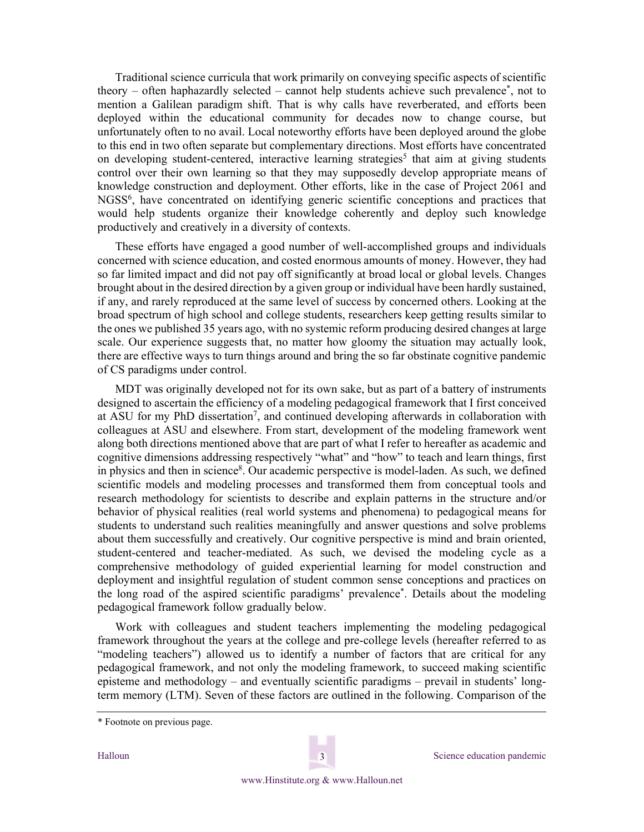Traditional science curricula that work primarily on conveying specific aspects of scientific theory – often haphazardly selected – cannot help students achieve such prevalence\*, not to mention a Galilean paradigm shift. That is why calls have reverberated, and efforts been deployed within the educational community for decades now to change course, but unfortunately often to no avail. Local noteworthy efforts have been deployed around the globe to this end in two often separate but complementary directions. Most efforts have concentrated on developing student-centered, interactive learning strategies<sup>5</sup> that aim at giving students control over their own learning so that they may supposedly develop appropriate means of knowledge construction and deployment. Other efforts, like in the case of Project 2061 and NGSS<sup>6</sup>, have concentrated on identifying generic scientific conceptions and practices that would help students organize their knowledge coherently and deploy such knowledge productively and creatively in a diversity of contexts.

These efforts have engaged a good number of well-accomplished groups and individuals concerned with science education, and costed enormous amounts of money. However, they had so far limited impact and did not pay off significantly at broad local or global levels. Changes brought about in the desired direction by a given group or individual have been hardly sustained, if any, and rarely reproduced at the same level of success by concerned others. Looking at the broad spectrum of high school and college students, researchers keep getting results similar to the ones we published 35 years ago, with no systemic reform producing desired changes at large scale. Our experience suggests that, no matter how gloomy the situation may actually look, there are effective ways to turn things around and bring the so far obstinate cognitive pandemic of CS paradigms under control.

MDT was originally developed not for its own sake, but as part of a battery of instruments designed to ascertain the efficiency of a modeling pedagogical framework that I first conceived at ASU for my PhD dissertation<sup>7</sup>, and continued developing afterwards in collaboration with colleagues at ASU and elsewhere. From start, development of the modeling framework went along both directions mentioned above that are part of what I refer to hereafter as academic and cognitive dimensions addressing respectively "what" and "how" to teach and learn things, first in physics and then in science<sup>8</sup>. Our academic perspective is model-laden. As such, we defined scientific models and modeling processes and transformed them from conceptual tools and research methodology for scientists to describe and explain patterns in the structure and/or behavior of physical realities (real world systems and phenomena) to pedagogical means for students to understand such realities meaningfully and answer questions and solve problems about them successfully and creatively. Our cognitive perspective is mind and brain oriented, student-centered and teacher-mediated. As such, we devised the modeling cycle as a comprehensive methodology of guided experiential learning for model construction and deployment and insightful regulation of student common sense conceptions and practices on the long road of the aspired scientific paradigms' prevalence\*. Details about the modeling pedagogical framework follow gradually below.

Work with colleagues and student teachers implementing the modeling pedagogical framework throughout the years at the college and pre-college levels (hereafter referred to as "modeling teachers") allowed us to identify a number of factors that are critical for any pedagogical framework, and not only the modeling framework, to succeed making scientific episteme and methodology – and eventually scientific paradigms – prevail in students' longterm memory (LTM). Seven of these factors are outlined in the following. Comparison of the



<sup>\*</sup> Footnote on previous page.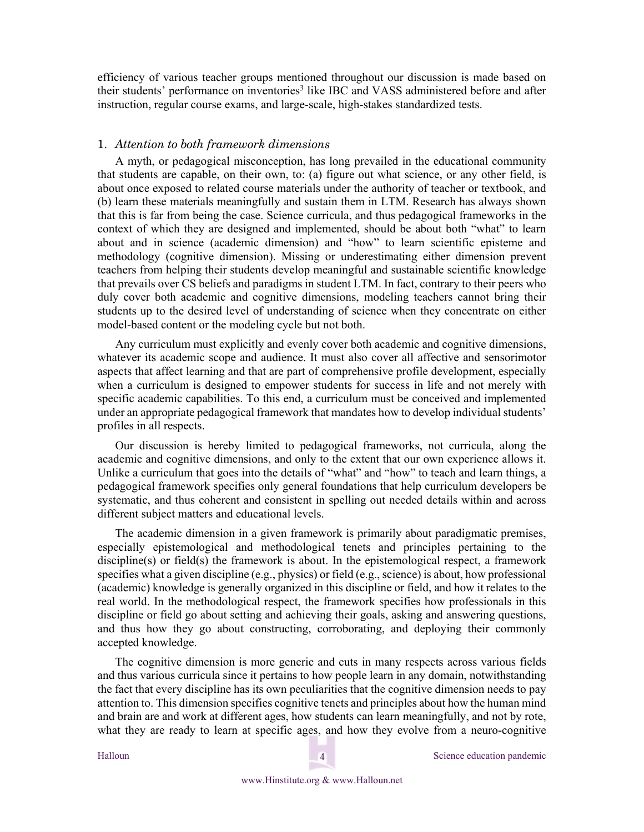efficiency of various teacher groups mentioned throughout our discussion is made based on their students' performance on inventories<sup>3</sup> like IBC and VASS administered before and after instruction, regular course exams, and large-scale, high-stakes standardized tests.

## 1. *Attention to both framework dimensions*

A myth, or pedagogical misconception, has long prevailed in the educational community that students are capable, on their own, to: (a) figure out what science, or any other field, is about once exposed to related course materials under the authority of teacher or textbook, and (b) learn these materials meaningfully and sustain them in LTM. Research has always shown that this is far from being the case. Science curricula, and thus pedagogical frameworks in the context of which they are designed and implemented, should be about both "what" to learn about and in science (academic dimension) and "how" to learn scientific episteme and methodology (cognitive dimension). Missing or underestimating either dimension prevent teachers from helping their students develop meaningful and sustainable scientific knowledge that prevails over CS beliefs and paradigms in student LTM. In fact, contrary to their peers who duly cover both academic and cognitive dimensions, modeling teachers cannot bring their students up to the desired level of understanding of science when they concentrate on either model-based content or the modeling cycle but not both.

Any curriculum must explicitly and evenly cover both academic and cognitive dimensions, whatever its academic scope and audience. It must also cover all affective and sensorimotor aspects that affect learning and that are part of comprehensive profile development, especially when a curriculum is designed to empower students for success in life and not merely with specific academic capabilities. To this end, a curriculum must be conceived and implemented under an appropriate pedagogical framework that mandates how to develop individual students' profiles in all respects.

Our discussion is hereby limited to pedagogical frameworks, not curricula, along the academic and cognitive dimensions, and only to the extent that our own experience allows it. Unlike a curriculum that goes into the details of "what" and "how" to teach and learn things, a pedagogical framework specifies only general foundations that help curriculum developers be systematic, and thus coherent and consistent in spelling out needed details within and across different subject matters and educational levels.

The academic dimension in a given framework is primarily about paradigmatic premises, especially epistemological and methodological tenets and principles pertaining to the discipline(s) or field(s) the framework is about. In the epistemological respect, a framework specifies what a given discipline (e.g., physics) or field (e.g., science) is about, how professional (academic) knowledge is generally organized in this discipline or field, and how it relates to the real world. In the methodological respect, the framework specifies how professionals in this discipline or field go about setting and achieving their goals, asking and answering questions, and thus how they go about constructing, corroborating, and deploying their commonly accepted knowledge.

The cognitive dimension is more generic and cuts in many respects across various fields and thus various curricula since it pertains to how people learn in any domain, notwithstanding the fact that every discipline has its own peculiarities that the cognitive dimension needs to pay attention to. This dimension specifies cognitive tenets and principles about how the human mind and brain are and work at different ages, how students can learn meaningfully, and not by rote, what they are ready to learn at specific ages, and how they evolve from a neuro-cognitive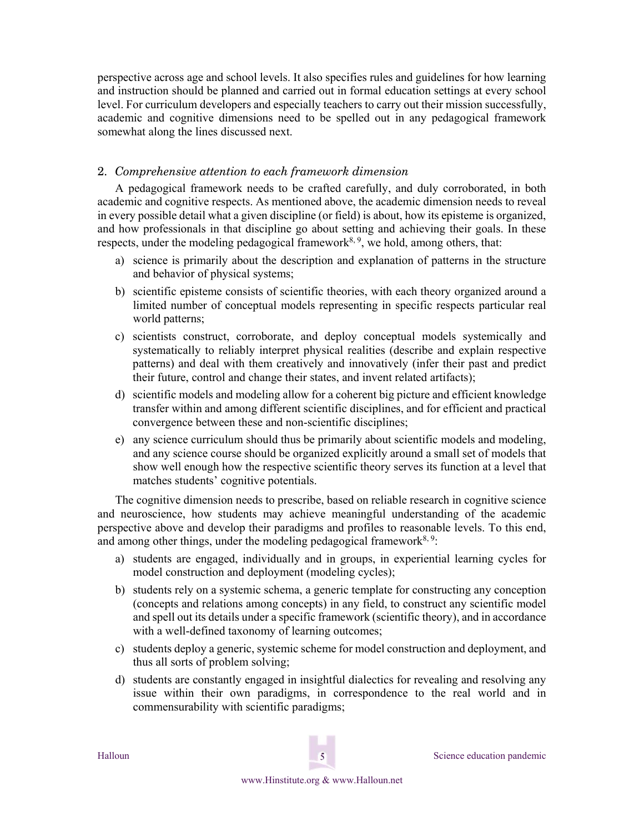perspective across age and school levels. It also specifies rules and guidelines for how learning and instruction should be planned and carried out in formal education settings at every school level. For curriculum developers and especially teachers to carry out their mission successfully, academic and cognitive dimensions need to be spelled out in any pedagogical framework somewhat along the lines discussed next.

# 2. *Comprehensive attention to each framework dimension*

A pedagogical framework needs to be crafted carefully, and duly corroborated, in both academic and cognitive respects. As mentioned above, the academic dimension needs to reveal in every possible detail what a given discipline (or field) is about, how its episteme is organized, and how professionals in that discipline go about setting and achieving their goals. In these respects, under the modeling pedagogical framework<sup>8, 9</sup>, we hold, among others, that:

- a) science is primarily about the description and explanation of patterns in the structure and behavior of physical systems;
- b) scientific episteme consists of scientific theories, with each theory organized around a limited number of conceptual models representing in specific respects particular real world patterns;
- c) scientists construct, corroborate, and deploy conceptual models systemically and systematically to reliably interpret physical realities (describe and explain respective patterns) and deal with them creatively and innovatively (infer their past and predict their future, control and change their states, and invent related artifacts);
- d) scientific models and modeling allow for a coherent big picture and efficient knowledge transfer within and among different scientific disciplines, and for efficient and practical convergence between these and non-scientific disciplines;
- e) any science curriculum should thus be primarily about scientific models and modeling, and any science course should be organized explicitly around a small set of models that show well enough how the respective scientific theory serves its function at a level that matches students' cognitive potentials.

The cognitive dimension needs to prescribe, based on reliable research in cognitive science and neuroscience, how students may achieve meaningful understanding of the academic perspective above and develop their paradigms and profiles to reasonable levels. To this end, and among other things, under the modeling pedagogical framework<sup>8, 9</sup>:

- a) students are engaged, individually and in groups, in experiential learning cycles for model construction and deployment (modeling cycles);
- b) students rely on a systemic schema, a generic template for constructing any conception (concepts and relations among concepts) in any field, to construct any scientific model and spell out its details under a specific framework (scientific theory), and in accordance with a well-defined taxonomy of learning outcomes;
- c) students deploy a generic, systemic scheme for model construction and deployment, and thus all sorts of problem solving;
- d) students are constantly engaged in insightful dialectics for revealing and resolving any issue within their own paradigms, in correspondence to the real world and in commensurability with scientific paradigms;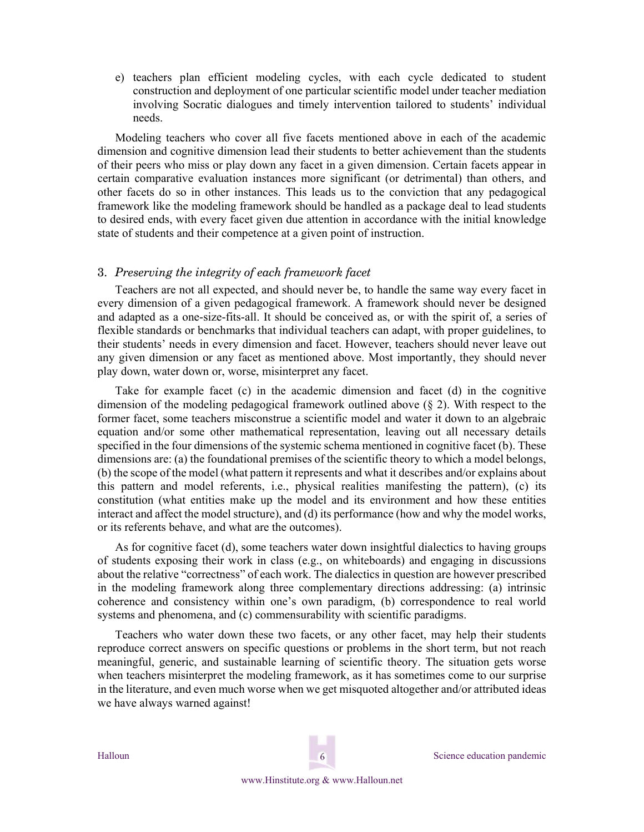e) teachers plan efficient modeling cycles, with each cycle dedicated to student construction and deployment of one particular scientific model under teacher mediation involving Socratic dialogues and timely intervention tailored to students' individual needs.

Modeling teachers who cover all five facets mentioned above in each of the academic dimension and cognitive dimension lead their students to better achievement than the students of their peers who miss or play down any facet in a given dimension. Certain facets appear in certain comparative evaluation instances more significant (or detrimental) than others, and other facets do so in other instances. This leads us to the conviction that any pedagogical framework like the modeling framework should be handled as a package deal to lead students to desired ends, with every facet given due attention in accordance with the initial knowledge state of students and their competence at a given point of instruction.

## 3. *Preserving the integrity of each framework facet*

Teachers are not all expected, and should never be, to handle the same way every facet in every dimension of a given pedagogical framework. A framework should never be designed and adapted as a one-size-fits-all. It should be conceived as, or with the spirit of, a series of flexible standards or benchmarks that individual teachers can adapt, with proper guidelines, to their students' needs in every dimension and facet. However, teachers should never leave out any given dimension or any facet as mentioned above. Most importantly, they should never play down, water down or, worse, misinterpret any facet.

Take for example facet  $(c)$  in the academic dimension and facet  $(d)$  in the cognitive dimension of the modeling pedagogical framework outlined above (§ 2). With respect to the former facet, some teachers misconstrue a scientific model and water it down to an algebraic equation and/or some other mathematical representation, leaving out all necessary details specified in the four dimensions of the systemic schema mentioned in cognitive facet (b). These dimensions are: (a) the foundational premises of the scientific theory to which a model belongs, (b) the scope of the model (what pattern it represents and what it describes and/or explains about this pattern and model referents, i.e., physical realities manifesting the pattern), (c) its constitution (what entities make up the model and its environment and how these entities interact and affect the model structure), and (d) its performance (how and why the model works, or its referents behave, and what are the outcomes).

As for cognitive facet (d), some teachers water down insightful dialectics to having groups of students exposing their work in class (e.g., on whiteboards) and engaging in discussions about the relative "correctness" of each work. The dialectics in question are however prescribed in the modeling framework along three complementary directions addressing: (a) intrinsic coherence and consistency within one's own paradigm, (b) correspondence to real world systems and phenomena, and (c) commensurability with scientific paradigms.

Teachers who water down these two facets, or any other facet, may help their students reproduce correct answers on specific questions or problems in the short term, but not reach meaningful, generic, and sustainable learning of scientific theory. The situation gets worse when teachers misinterpret the modeling framework, as it has sometimes come to our surprise in the literature, and even much worse when we get misquoted altogether and/or attributed ideas we have always warned against!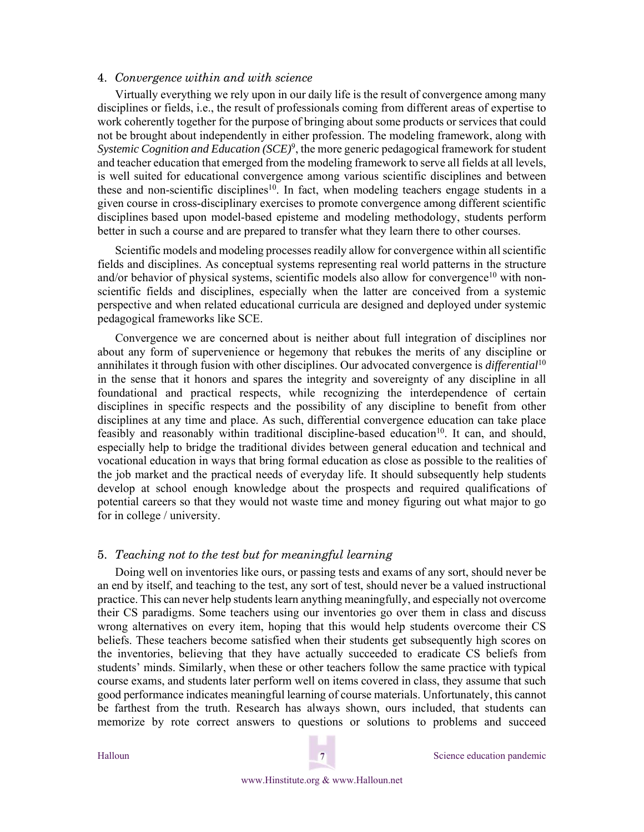### 4. *Convergence within and with science*

Virtually everything we rely upon in our daily life is the result of convergence among many disciplines or fields, i.e., the result of professionals coming from different areas of expertise to work coherently together for the purpose of bringing about some products or services that could not be brought about independently in either profession. The modeling framework, along with *Systemic Cognition and Education (SCE)*9, the more generic pedagogical framework for student and teacher education that emerged from the modeling framework to serve all fields at all levels, is well suited for educational convergence among various scientific disciplines and between these and non-scientific disciplines<sup>10</sup>. In fact, when modeling teachers engage students in a given course in cross-disciplinary exercises to promote convergence among different scientific disciplines based upon model-based episteme and modeling methodology, students perform better in such a course and are prepared to transfer what they learn there to other courses.

Scientific models and modeling processes readily allow for convergence within all scientific fields and disciplines. As conceptual systems representing real world patterns in the structure and/or behavior of physical systems, scientific models also allow for convergence<sup>10</sup> with nonscientific fields and disciplines, especially when the latter are conceived from a systemic perspective and when related educational curricula are designed and deployed under systemic pedagogical frameworks like SCE.

Convergence we are concerned about is neither about full integration of disciplines nor about any form of supervenience or hegemony that rebukes the merits of any discipline or annihilates it through fusion with other disciplines. Our advocated convergence is *differential*<sup>10</sup> in the sense that it honors and spares the integrity and sovereignty of any discipline in all foundational and practical respects, while recognizing the interdependence of certain disciplines in specific respects and the possibility of any discipline to benefit from other disciplines at any time and place. As such, differential convergence education can take place feasibly and reasonably within traditional discipline-based education<sup>10</sup>. It can, and should, especially help to bridge the traditional divides between general education and technical and vocational education in ways that bring formal education as close as possible to the realities of the job market and the practical needs of everyday life. It should subsequently help students develop at school enough knowledge about the prospects and required qualifications of potential careers so that they would not waste time and money figuring out what major to go for in college / university.

### 5. *Teaching not to the test but for meaningful learning*

Doing well on inventories like ours, or passing tests and exams of any sort, should never be an end by itself, and teaching to the test, any sort of test, should never be a valued instructional practice. This can never help students learn anything meaningfully, and especially not overcome their CS paradigms. Some teachers using our inventories go over them in class and discuss wrong alternatives on every item, hoping that this would help students overcome their CS beliefs. These teachers become satisfied when their students get subsequently high scores on the inventories, believing that they have actually succeeded to eradicate CS beliefs from students' minds. Similarly, when these or other teachers follow the same practice with typical course exams, and students later perform well on items covered in class, they assume that such good performance indicates meaningful learning of course materials. Unfortunately, this cannot be farthest from the truth. Research has always shown, ours included, that students can memorize by rote correct answers to questions or solutions to problems and succeed

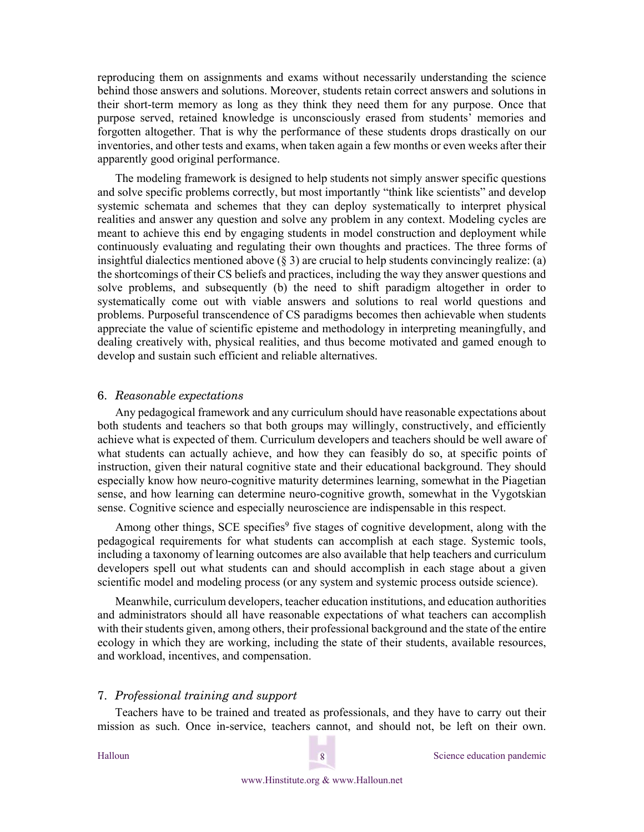reproducing them on assignments and exams without necessarily understanding the science behind those answers and solutions. Moreover, students retain correct answers and solutions in their short-term memory as long as they think they need them for any purpose. Once that purpose served, retained knowledge is unconsciously erased from students' memories and forgotten altogether. That is why the performance of these students drops drastically on our inventories, and other tests and exams, when taken again a few months or even weeks after their apparently good original performance.

The modeling framework is designed to help students not simply answer specific questions and solve specific problems correctly, but most importantly "think like scientists" and develop systemic schemata and schemes that they can deploy systematically to interpret physical realities and answer any question and solve any problem in any context. Modeling cycles are meant to achieve this end by engaging students in model construction and deployment while continuously evaluating and regulating their own thoughts and practices. The three forms of insightful dialectics mentioned above  $(\S 3)$  are crucial to help students convincingly realize: (a) the shortcomings of their CS beliefs and practices, including the way they answer questions and solve problems, and subsequently (b) the need to shift paradigm altogether in order to systematically come out with viable answers and solutions to real world questions and problems. Purposeful transcendence of CS paradigms becomes then achievable when students appreciate the value of scientific episteme and methodology in interpreting meaningfully, and dealing creatively with, physical realities, and thus become motivated and gamed enough to develop and sustain such efficient and reliable alternatives.

#### 6. *Reasonable expectations*

Any pedagogical framework and any curriculum should have reasonable expectations about both students and teachers so that both groups may willingly, constructively, and efficiently achieve what is expected of them. Curriculum developers and teachers should be well aware of what students can actually achieve, and how they can feasibly do so, at specific points of instruction, given their natural cognitive state and their educational background. They should especially know how neuro-cognitive maturity determines learning, somewhat in the Piagetian sense, and how learning can determine neuro-cognitive growth, somewhat in the Vygotskian sense. Cognitive science and especially neuroscience are indispensable in this respect.

Among other things, SCE specifies<sup>9</sup> five stages of cognitive development, along with the pedagogical requirements for what students can accomplish at each stage. Systemic tools, including a taxonomy of learning outcomes are also available that help teachers and curriculum developers spell out what students can and should accomplish in each stage about a given scientific model and modeling process (or any system and systemic process outside science).

Meanwhile, curriculum developers, teacher education institutions, and education authorities and administrators should all have reasonable expectations of what teachers can accomplish with their students given, among others, their professional background and the state of the entire ecology in which they are working, including the state of their students, available resources, and workload, incentives, and compensation.

### 7. *Professional training and support*

Teachers have to be trained and treated as professionals, and they have to carry out their mission as such. Once in-service, teachers cannot, and should not, be left on their own.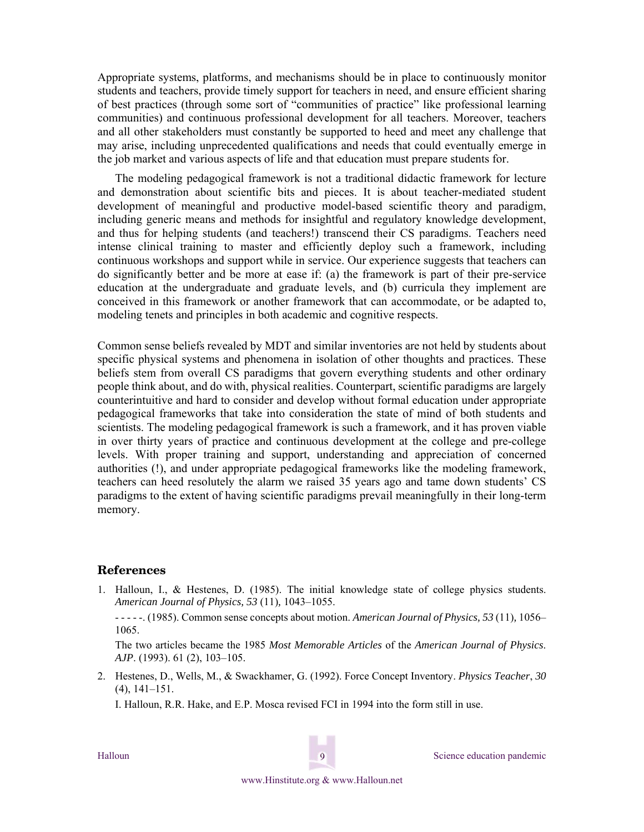Appropriate systems, platforms, and mechanisms should be in place to continuously monitor students and teachers, provide timely support for teachers in need, and ensure efficient sharing of best practices (through some sort of "communities of practice" like professional learning communities) and continuous professional development for all teachers. Moreover, teachers and all other stakeholders must constantly be supported to heed and meet any challenge that may arise, including unprecedented qualifications and needs that could eventually emerge in the job market and various aspects of life and that education must prepare students for.

The modeling pedagogical framework is not a traditional didactic framework for lecture and demonstration about scientific bits and pieces. It is about teacher-mediated student development of meaningful and productive model-based scientific theory and paradigm, including generic means and methods for insightful and regulatory knowledge development, and thus for helping students (and teachers!) transcend their CS paradigms. Teachers need intense clinical training to master and efficiently deploy such a framework, including continuous workshops and support while in service. Our experience suggests that teachers can do significantly better and be more at ease if: (a) the framework is part of their pre-service education at the undergraduate and graduate levels, and (b) curricula they implement are conceived in this framework or another framework that can accommodate, or be adapted to, modeling tenets and principles in both academic and cognitive respects.

Common sense beliefs revealed by MDT and similar inventories are not held by students about specific physical systems and phenomena in isolation of other thoughts and practices. These beliefs stem from overall CS paradigms that govern everything students and other ordinary people think about, and do with, physical realities. Counterpart, scientific paradigms are largely counterintuitive and hard to consider and develop without formal education under appropriate pedagogical frameworks that take into consideration the state of mind of both students and scientists. The modeling pedagogical framework is such a framework, and it has proven viable in over thirty years of practice and continuous development at the college and pre-college levels. With proper training and support, understanding and appreciation of concerned authorities (!), and under appropriate pedagogical frameworks like the modeling framework, teachers can heed resolutely the alarm we raised 35 years ago and tame down students' CS paradigms to the extent of having scientific paradigms prevail meaningfully in their long-term memory.

### **References**

1. Halloun, I., & Hestenes, D. (1985). The initial knowledge state of college physics students. *American Journal of Physics, 53* (11)*,* 1043–1055.

 - - - - -. (1985). Common sense concepts about motion. *American Journal of Physics, 53* (11)*,* 1056– 1065.

The two articles became the 1985 *Most Memorable Articles* of the *American Journal of Physics*. *AJP*. (1993). 61 (2), 103–105.

2. Hestenes, D., Wells, M., & Swackhamer, G. (1992). Force Concept Inventory. *Physics Teacher*, *30*  (4), 141–151.

I. Halloun, R.R. Hake, and E.P. Mosca revised FCI in 1994 into the form still in use.